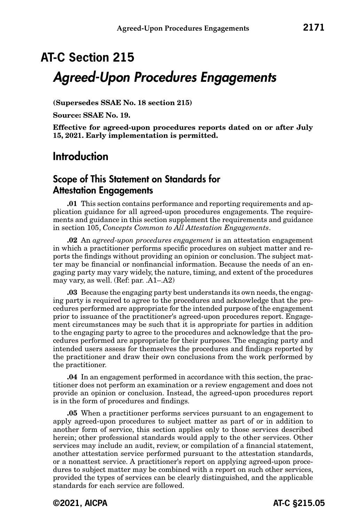# **AT-C Section 215** *Agreed-Upon Procedures Engagements*

**(Supersedes SSAE No. 18 section 215)**

**Source: SSAE No. 19.**

**Effective for agreed-upon procedures reports dated on or after July 15, 2021. Early implementation is permitted.**

## **Introduction**

## **Scope of This Statement on Standards for Attestation Engagements**

**.01** This section contains performance and reporting requirements and application guidance for all agreed-upon procedures engagements. The requirements and guidance in this section supplement the requirements and guidance in section 105, *Concepts Common to All Attestation Engagements*.

**.02** An *agreed-upon procedures engagement* is an attestation engagement in which a practitioner performs specific procedures on subject matter and reports the findings without providing an opinion or conclusion. The subject matter may be financial or nonfinancial information. Because the needs of an engaging party may vary widely, the nature, timing, and extent of the procedures may vary, as well. (Ref: par. .A1–.A2)

**.03** Because the engaging party best understands its own needs, the engaging party is required to agree to the procedures and acknowledge that the procedures performed are appropriate for the intended purpose of the engagement prior to issuance of the practitioner's agreed-upon procedures report. Engagement circumstances may be such that it is appropriate for parties in addition to the engaging party to agree to the procedures and acknowledge that the procedures performed are appropriate for their purposes. The engaging party and intended users assess for themselves the procedures and findings reported by the practitioner and draw their own conclusions from the work performed by the practitioner.

**.04** In an engagement performed in accordance with this section, the practitioner does not perform an examination or a review engagement and does not provide an opinion or conclusion. Instead, the agreed-upon procedures report is in the form of procedures and findings.

**.05** When a practitioner performs services pursuant to an engagement to apply agreed-upon procedures to subject matter as part of or in addition to another form of service, this section applies only to those services described herein; other professional standards would apply to the other services. Other services may include an audit, review, or compilation of a financial statement, another attestation service performed pursuant to the attestation standards, or a nonattest service. A practitioner's report on applying agreed-upon procedures to subject matter may be combined with a report on such other services, provided the types of services can be clearly distinguished, and the applicable standards for each service are followed.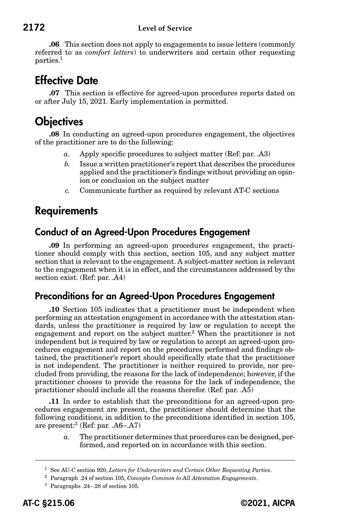#### **2172 Level of Service**

**.06** This section does not apply to engagements to issue letters (commonly referred to as *comfort letters*) to underwriters and certain other requesting parties.1

# **Effective Date**

**.07** This section is effective for agreed-upon procedures reports dated on or after July 15, 2021. Early implementation is permitted.

# **Objectives**

**.08** In conducting an agreed-upon procedures engagement, the objectives of the practitioner are to do the following:

- *a.* Apply specific procedures to subject matter (Ref: par. .A3)
- *b.* Issue a written practitioner's report that describes the procedures applied and the practitioner's findings without providing an opinion or conclusion on the subject matter
- *c.* Communicate further as required by relevant AT-C sections

## **Requirements**

## **Conduct of an Agreed-Upon Procedures Engagement**

**.09** In performing an agreed-upon procedures engagement, the practitioner should comply with this section, section 105, and any subject matter section that is relevant to the engagement. A subject-matter section is relevant to the engagement when it is in effect, and the circumstances addressed by the section exist. (Ref: par. .A4)

## **Preconditions for an Agreed-Upon Procedures Engagement**

**.10** Section 105 indicates that a practitioner must be independent when performing an attestation engagement in accordance with the attestation standards, unless the practitioner is required by law or regulation to accept the engagement and report on the subject matter.<sup>2</sup> When the practitioner is not independent but is required by law or regulation to accept an agreed-upon procedures engagement and report on the procedures performed and findings obtained, the practitioner's report should specifically state that the practitioner is not independent. The practitioner is neither required to provide, nor precluded from providing, the reasons for the lack of independence; however, if the practitioner chooses to provide the reasons for the lack of independence, the practitioner should include all the reasons therefor. (Ref: par. .A5)

**.11** In order to establish that the preconditions for an agreed-upon procedures engagement are present, the practitioner should determine that the following conditions, in addition to the preconditions identified in section 105, are present:3 (Ref: par. .A6–.A7)

> *a.* The practitioner determines that procedures can be designed, performed, and reported on in accordance with this section.

<sup>1</sup> See AU-C section 920, *Letters for Underwriters and Certain Other Requesting Parties*.

<sup>2</sup> Paragraph .24 of section 105, *Concepts Common to All Attestation Engagements*.

<sup>3</sup> Paragraphs .24–.28 of section 105.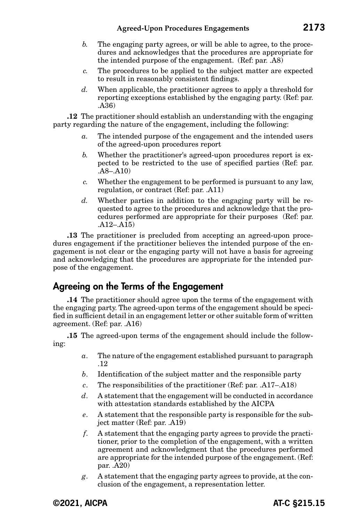- *b.* The engaging party agrees, or will be able to agree, to the procedures and acknowledges that the procedures are appropriate for the intended purpose of the engagement. (Ref: par. .A8)
- *c.* The procedures to be applied to the subject matter are expected to result in reasonably consistent findings.
- *d.* When applicable, the practitioner agrees to apply a threshold for reporting exceptions established by the engaging party. (Ref: par. .A36)

**.12** The practitioner should establish an understanding with the engaging party regarding the nature of the engagement, including the following:

- *a.* The intended purpose of the engagement and the intended users of the agreed-upon procedures report
- *b.* Whether the practitioner's agreed-upon procedures report is expected to be restricted to the use of specified parties (Ref: par. .A8–.A10)
- *c.* Whether the engagement to be performed is pursuant to any law, regulation, or contract (Ref: par. .A11)
- *d.* Whether parties in addition to the engaging party will be requested to agree to the procedures and acknowledge that the procedures performed are appropriate for their purposes (Ref: par.  $A12 - A15$

**.13** The practitioner is precluded from accepting an agreed-upon procedures engagement if the practitioner believes the intended purpose of the engagement is not clear or the engaging party will not have a basis for agreeing and acknowledging that the procedures are appropriate for the intended purpose of the engagement.

## **Agreeing on the Terms of the Engagement**

**.14** The practitioner should agree upon the terms of the engagement with the engaging party. The agreed-upon terms of the engagement should be specified in sufficient detail in an engagement letter or other suitable form of written agreement. (Ref: par. .A16)

**.15** The agreed-upon terms of the engagement should include the following:

- *a*. The nature of the engagement established pursuant to paragraph .12
- *b*. Identification of the subject matter and the responsible party
- *c*. The responsibilities of the practitioner (Ref: par. .A17–.A18)
- *d*. A statement that the engagement will be conducted in accordance with attestation standards established by the AICPA
- *e*. A statement that the responsible party is responsible for the subject matter (Ref: par. .A19)
- *f*. A statement that the engaging party agrees to provide the practitioner, prior to the completion of the engagement, with a written agreement and acknowledgment that the procedures performed are appropriate for the intended purpose of the engagement. (Ref: par. .A20)
- *g*. A statement that the engaging party agrees to provide, at the conclusion of the engagement, a representation letter.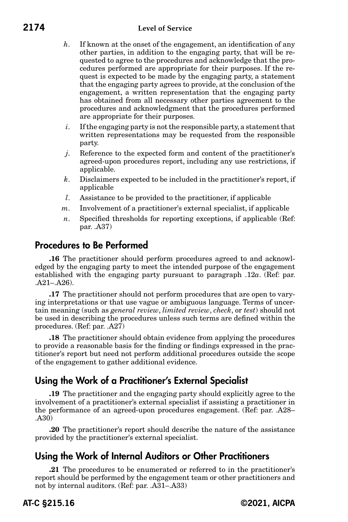#### **2174 Level of Service**

- *h*. If known at the onset of the engagement, an identification of any other parties, in addition to the engaging party, that will be requested to agree to the procedures and acknowledge that the procedures performed are appropriate for their purposes. If the request is expected to be made by the engaging party, a statement that the engaging party agrees to provide, at the conclusion of the engagement, a written representation that the engaging party has obtained from all necessary other parties agreement to the procedures and acknowledgment that the procedures performed are appropriate for their purposes.
- *i*. If the engaging party is not the responsible party, a statement that written representations may be requested from the responsible party.
- *j*. Reference to the expected form and content of the practitioner's agreed-upon procedures report, including any use restrictions, if applicable.
- *k*. Disclaimers expected to be included in the practitioner's report, if applicable
- *l*. Assistance to be provided to the practitioner, if applicable
- *m*. Involvement of a practitioner's external specialist, if applicable
- *n*. Specified thresholds for reporting exceptions, if applicable (Ref: par. .A37)

## **Procedures to Be Performed**

**.16** The practitioner should perform procedures agreed to and acknowledged by the engaging party to meet the intended purpose of the engagement established with the engaging party pursuant to paragraph .12*a*. (Ref: par. .A21–.A26).

**.17** The practitioner should not perform procedures that are open to varying interpretations or that use vague or ambiguous language. Terms of uncertain meaning (such as *general review*, *limited review*, *check*, or *test*) should not be used in describing the procedures unless such terms are defined within the procedures. (Ref: par. .A27)

**.18** The practitioner should obtain evidence from applying the procedures to provide a reasonable basis for the finding or findings expressed in the practitioner's report but need not perform additional procedures outside the scope of the engagement to gather additional evidence.

## **Using the Work of a Practitioner's External Specialist**

**.19** The practitioner and the engaging party should explicitly agree to the involvement of a practitioner's external specialist if assisting a practitioner in the performance of an agreed-upon procedures engagement. (Ref: par. .A28– .A30)

**.20** The practitioner's report should describe the nature of the assistance provided by the practitioner's external specialist.

## **Using the Work of Internal Auditors or Other Practitioners**

**.21** The procedures to be enumerated or referred to in the practitioner's report should be performed by the engagement team or other practitioners and not by internal auditors. (Ref: par. .A31–.A33)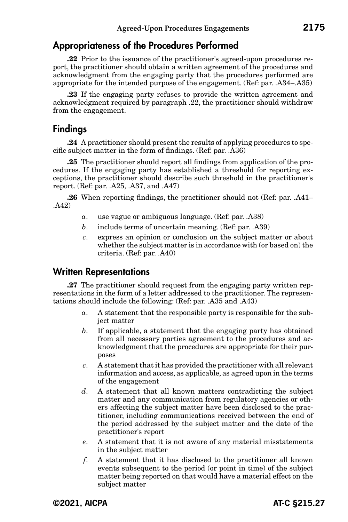#### **Appropriateness of the Procedures Performed**

**.22** Prior to the issuance of the practitioner's agreed-upon procedures report, the practitioner should obtain a written agreement of the procedures and acknowledgment from the engaging party that the procedures performed are appropriate for the intended purpose of the engagement. (Ref: par. .A34–.A35)

**.23** If the engaging party refuses to provide the written agreement and acknowledgment required by paragraph .22, the practitioner should withdraw from the engagement.

## **Findings**

**.24** A practitioner should present the results of applying procedures to specific subject matter in the form of findings. (Ref: par. .A36)

**.25** The practitioner should report all findings from application of the procedures. If the engaging party has established a threshold for reporting exceptions, the practitioner should describe such threshold in the practitioner's report. (Ref: par. .A25, .A37, and .A47)

**.26** When reporting findings, the practitioner should not (Ref: par. .A41– .A42)

- *a*. use vague or ambiguous language. (Ref: par. .A38)
- *b*. include terms of uncertain meaning. (Ref: par. .A39)
- *c*. express an opinion or conclusion on the subject matter or about whether the subject matter is in accordance with (or based on) the criteria. (Ref: par. .A40)

## **Written Representations**

**.27** The practitioner should request from the engaging party written representations in the form of a letter addressed to the practitioner. The representations should include the following: (Ref: par. .A35 and .A43)

- *a*. A statement that the responsible party is responsible for the subject matter
- *b*. If applicable, a statement that the engaging party has obtained from all necessary parties agreement to the procedures and acknowledgment that the procedures are appropriate for their purposes
- *c*. A statement that it has provided the practitioner with all relevant information and access, as applicable, as agreed upon in the terms of the engagement
- *d*. A statement that all known matters contradicting the subject matter and any communication from regulatory agencies or others affecting the subject matter have been disclosed to the practitioner, including communications received between the end of the period addressed by the subject matter and the date of the practitioner's report
- *e*. A statement that it is not aware of any material misstatements in the subject matter
- *f*. A statement that it has disclosed to the practitioner all known events subsequent to the period (or point in time) of the subject matter being reported on that would have a material effect on the subject matter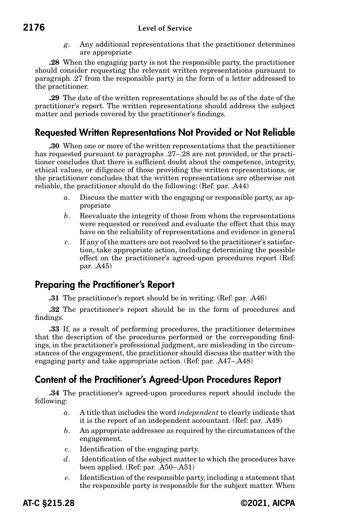*g*. Any additional representations that the practitioner determines are appropriate

**.28** When the engaging party is not the responsible party, the practitioner should consider requesting the relevant written representations pursuant to paragraph .27 from the responsible party in the form of a letter addressed to the practitioner.

**.29** The date of the written representations should be as of the date of the practitioner's report. The written representations should address the subject matter and periods covered by the practitioner's findings.

## **Requested Written Representations Not Provided or Not Reliable**

**.30** When one or more of the written representations that the practitioner has requested pursuant to paragraphs .27–.28 are not provided, or the practitioner concludes that there is sufficient doubt about the competence, integrity, ethical values, or diligence of those providing the written representations, or the practitioner concludes that the written representations are otherwise not reliable, the practitioner should do the following: (Ref: par. .A44)

- *a*. Discuss the matter with the engaging or responsible party, as appropriate
- *b*. Reevaluate the integrity of those from whom the representations were requested or received and evaluate the effect that this may have on the reliability of representations and evidence in general
- *c*. If any of the matters are not resolved to the practitioner's satisfaction, take appropriate action, including determining the possible effect on the practitioner's agreed-upon procedures report (Ref: par. .A45)

## **Preparing the Practitioner's Report**

**.31** The practitioner's report should be in writing. (Ref: par. .A46)

**.32** The practitioner's report should be in the form of procedures and findings.

**.33** If, as a result of performing procedures, the practitioner determines that the description of the procedures performed or the corresponding findings, in the practitioner's professional judgment, are misleading in the circumstances of the engagement, the practitioner should discuss the matter with the engaging party and take appropriate action. (Ref: par. .A47–.A48)

## **Content of the Practitioner's Agreed-Upon Procedures Report**

**.34** The practitioner's agreed-upon procedures report should include the following:

- *a*. A title that includes the word *independent* to clearly indicate that it is the report of an independent accountant. (Ref: par. .A49)
- *b*. An appropriate addressee as required by the circumstances of the engagement.
- *c*. Identification of the engaging party.
- *d*. Identification of the subject matter to which the procedures have been applied. (Ref: par. .A50–.A51)
- *e*. Identification of the responsible party, including a statement that the responsible party is responsible for the subject matter. When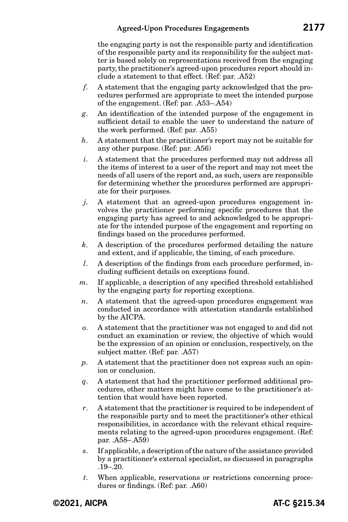the engaging party is not the responsible party and identification of the responsible party and its responsibility for the subject matter is based solely on representations received from the engaging party, the practitioner's agreed-upon procedures report should include a statement to that effect. (Ref: par. .A52)

- *f*. A statement that the engaging party acknowledged that the procedures performed are appropriate to meet the intended purpose of the engagement. (Ref: par. .A53–.A54)
- *g*. An identification of the intended purpose of the engagement in sufficient detail to enable the user to understand the nature of the work performed. (Ref: par. .A55)
- *h*. A statement that the practitioner's report may not be suitable for any other purpose. (Ref: par. .A56)
- *i*. A statement that the procedures performed may not address all the items of interest to a user of the report and may not meet the needs of all users of the report and, as such, users are responsible for determining whether the procedures performed are appropriate for their purposes.
- *j*. A statement that an agreed-upon procedures engagement involves the practitioner performing specific procedures that the engaging party has agreed to and acknowledged to be appropriate for the intended purpose of the engagement and reporting on findings based on the procedures performed.
- *k*. A description of the procedures performed detailing the nature and extent, and if applicable, the timing, of each procedure.
- *l*. A description of the findings from each procedure performed, including sufficient details on exceptions found.
- *m*. If applicable, a description of any specified threshold established by the engaging party for reporting exceptions.
- *n*. A statement that the agreed-upon procedures engagement was conducted in accordance with attestation standards established by the AICPA.
- *o*. A statement that the practitioner was not engaged to and did not conduct an examination or review, the objective of which would be the expression of an opinion or conclusion, respectively, on the subject matter. (Ref: par. .A57)
- *p*. A statement that the practitioner does not express such an opinion or conclusion.
- *q*. A statement that had the practitioner performed additional procedures, other matters might have come to the practitioner's attention that would have been reported.
- *r*. A statement that the practitioner is required to be independent of the responsible party and to meet the practitioner's other ethical responsibilities, in accordance with the relevant ethical requirements relating to the agreed-upon procedures engagement. (Ref: par. .A58–.A59)
- *s*. If applicable, a description of the nature of the assistance provided by a practitioner's external specialist, as discussed in paragraphs .19–.20.
- *t*. When applicable, reservations or restrictions concerning procedures or findings. (Ref: par. .A60)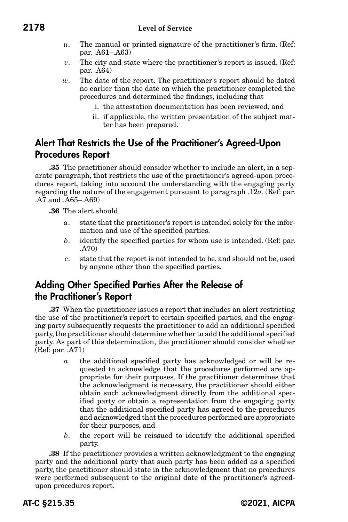- *u*. The manual or printed signature of the practitioner's firm. (Ref: par. .A61–.A63)
- *v*. The city and state where the practitioner's report is issued. (Ref: par. .A64)
- *w*. The date of the report. The practitioner's report should be dated no earlier than the date on which the practitioner completed the procedures and determined the findings, including that
	- i. the attestation documentation has been reviewed, and
	- ii. if applicable, the written presentation of the subject matter has been prepared.

## **Alert That Restricts the Use of the Practitioner's Agreed-Upon Procedures Report**

**.35** The practitioner should consider whether to include an alert, in a separate paragraph, that restricts the use of the practitioner's agreed-upon procedures report, taking into account the understanding with the engaging party regarding the nature of the engagement pursuant to paragraph .12*a*. (Ref: par. .A7 and .A65–.A69)

**.36** The alert should

- *a*. state that the practitioner's report is intended solely for the information and use of the specified parties.
- *b*. identify the specified parties for whom use is intended. (Ref: par. .A70)
- *c*. state that the report is not intended to be, and should not be, used by anyone other than the specified parties.

## **Adding Other Specified Parties After the Release of the Practitioner's Report**

**.37** When the practitioner issues a report that includes an alert restricting the use of the practitioner's report to certain specified parties, and the engaging party subsequently requests the practitioner to add an additional specified party, the practitioner should determine whether to add the additional specified party. As part of this determination, the practitioner should consider whether (Ref: par. .A71)

- *a*. the additional specified party has acknowledged or will be requested to acknowledge that the procedures performed are appropriate for their purposes. If the practitioner determines that the acknowledgment is necessary, the practitioner should either obtain such acknowledgment directly from the additional specified party or obtain a representation from the engaging party that the additional specified party has agreed to the procedures and acknowledged that the procedures performed are appropriate for their purposes, and
- *b*. the report will be reissued to identify the additional specified party.

**.38** If the practitioner provides a written acknowledgment to the engaging party and the additional party that such party has been added as a specified party, the practitioner should state in the acknowledgment that no procedures were performed subsequent to the original date of the practitioner's agreedupon procedures report.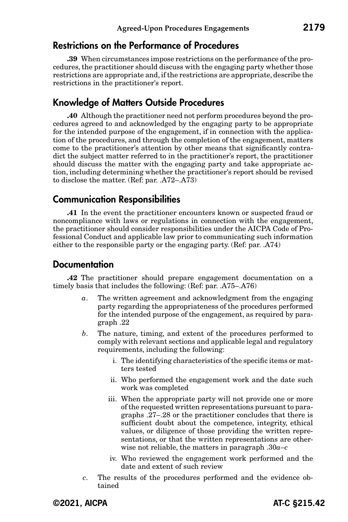## **Restrictions on the Performance of Procedures**

**.39** When circumstances impose restrictions on the performance of the procedures, the practitioner should discuss with the engaging party whether those restrictions are appropriate and, if the restrictions are appropriate, describe the restrictions in the practitioner's report.

## **Knowledge of Matters Outside Procedures**

**.40** Although the practitioner need not perform procedures beyond the procedures agreed to and acknowledged by the engaging party to be appropriate for the intended purpose of the engagement, if in connection with the application of the procedures, and through the completion of the engagement, matters come to the practitioner's attention by other means that significantly contradict the subject matter referred to in the practitioner's report, the practitioner should discuss the matter with the engaging party and take appropriate action, including determining whether the practitioner's report should be revised to disclose the matter. (Ref: par. .A72–.A73)

### **Communication Responsibilities**

**.41** In the event the practitioner encounters known or suspected fraud or noncompliance with laws or regulations in connection with the engagement, the practitioner should consider responsibilities under the AICPA Code of Professional Conduct and applicable law prior to communicating such information either to the responsible party or the engaging party. (Ref: par. .A74)

#### **Documentation**

**.42** The practitioner should prepare engagement documentation on a timely basis that includes the following: (Ref: par. .A75–.A76)

- *a*. The written agreement and acknowledgment from the engaging party regarding the appropriateness of the procedures performed for the intended purpose of the engagement, as required by paragraph .22
- *b*. The nature, timing, and extent of the procedures performed to comply with relevant sections and applicable legal and regulatory requirements, including the following:
	- i. The identifying characteristics of the specific items or matters tested
	- ii. Who performed the engagement work and the date such work was completed
	- iii. When the appropriate party will not provide one or more of the requested written representations pursuant to paragraphs .27–.28 or the practitioner concludes that there is sufficient doubt about the competence, integrity, ethical values, or diligence of those providing the written representations, or that the written representations are otherwise not reliable, the matters in paragraph .30*a*–*c*
	- iv. Who reviewed the engagement work performed and the date and extent of such review
- *c*. The results of the procedures performed and the evidence obtained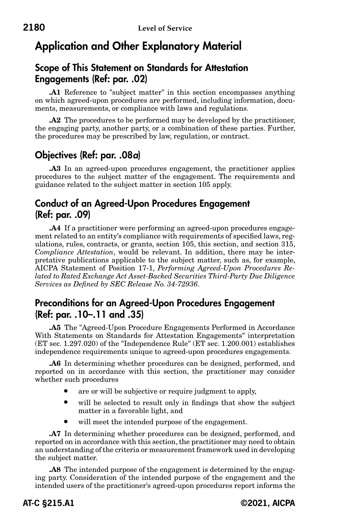# **Application and Other Explanatory Material**

## **Scope of This Statement on Standards for Attestation Engagements (Ref: par. .02)**

**.A1** Reference to "subject matter" in this section encompasses anything on which agreed-upon procedures are performed, including information, documents, measurements, or compliance with laws and regulations.

**.A2** The procedures to be performed may be developed by the practitioner, the engaging party, another party, or a combination of these parties. Further, the procedures may be prescribed by law, regulation, or contract.

## **Objectives (Ref: par. .08***a***)**

**A3** In an agreed-upon procedures engagement, the practitioner applies procedures to the subject matter of the engagement. The requirements and guidance related to the subject matter in section 105 apply.

## **Conduct of an Agreed-Upon Procedures Engagement (Ref: par. .09)**

**.A4** If a practitioner were performing an agreed-upon procedures engagement related to an entity's compliance with requirements of specified laws, regulations, rules, contracts, or grants, section 105, this section, and section 315, *Compliance Attestation*, would be relevant. In addition, there may be interpretative publications applicable to the subject matter, such as, for example, AICPA Statement of Position 17-1, *Performing Agreed-Upon Procedures Related to Rated Exchange Act Asset-Backed Securities Third-Party Due Diligence Services as Defined by SEC Release No. 34-72936*.

## **Preconditions for an Agreed-Upon Procedures Engagement (Ref: par. .10–.11 and .35)**

**.A5** The "Agreed-Upon Procedure Engagements Performed in Accordance With Statements on Standards for Attestation Engagements" interpretation (ET sec. 1.297.020) of the "Independence Rule" (ET sec. 1.200.001) establishes independence requirements unique to agreed-upon procedures engagements.

**.A6** In determining whether procedures can be designed, performed, and reported on in accordance with this section, the practitioner may consider whether such procedures

- are or will be subjective or require judgment to apply,
- will be selected to result only in findings that show the subject matter in a favorable light, and
- will meet the intended purpose of the engagement.

**.A7** In determining whether procedures can be designed, performed, and reported on in accordance with this section, the practitioner may need to obtain an understanding of the criteria or measurement framework used in developing the subject matter.

**.A8** The intended purpose of the engagement is determined by the engaging party. Consideration of the intended purpose of the engagement and the intended users of the practitioner's agreed-upon procedures report informs the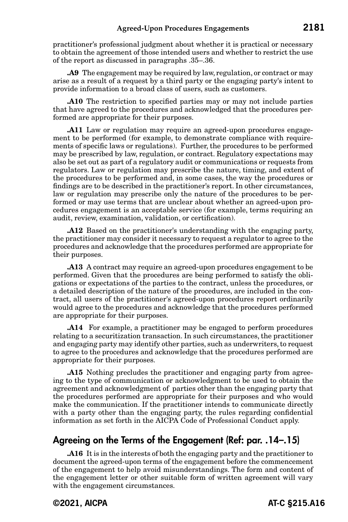practitioner's professional judgment about whether it is practical or necessary to obtain the agreement of those intended users and whether to restrict the use of the report as discussed in paragraphs .35–.36.

**.A9** The engagement may be required by law, regulation, or contract or may arise as a result of a request by a third party or the engaging party's intent to provide information to a broad class of users, such as customers.

**.A10** The restriction to specified parties may or may not include parties that have agreed to the procedures and acknowledged that the procedures performed are appropriate for their purposes.

**.A11** Law or regulation may require an agreed-upon procedures engagement to be performed (for example, to demonstrate compliance with requirements of specific laws or regulations). Further, the procedures to be performed may be prescribed by law, regulation, or contract. Regulatory expectations may also be set out as part of a regulatory audit or communications or requests from regulators. Law or regulation may prescribe the nature, timing, and extent of the procedures to be performed and, in some cases, the way the procedures or findings are to be described in the practitioner's report. In other circumstances, law or regulation may prescribe only the nature of the procedures to be performed or may use terms that are unclear about whether an agreed-upon procedures engagement is an acceptable service (for example, terms requiring an audit, review, examination, validation, or certification).

**.A12** Based on the practitioner's understanding with the engaging party, the practitioner may consider it necessary to request a regulator to agree to the procedures and acknowledge that the procedures performed are appropriate for their purposes.

**.A13** A contract may require an agreed-upon procedures engagement to be performed. Given that the procedures are being performed to satisfy the obligations or expectations of the parties to the contract, unless the procedures, or a detailed description of the nature of the procedures, are included in the contract, all users of the practitioner's agreed-upon procedures report ordinarily would agree to the procedures and acknowledge that the procedures performed are appropriate for their purposes.

**.A14** For example, a practitioner may be engaged to perform procedures relating to a securitization transaction. In such circumstances, the practitioner and engaging party may identify other parties, such as underwriters, to request to agree to the procedures and acknowledge that the procedures performed are appropriate for their purposes.

**.A15** Nothing precludes the practitioner and engaging party from agreeing to the type of communication or acknowledgment to be used to obtain the agreement and acknowledgment of parties other than the engaging party that the procedures performed are appropriate for their purposes and who would make the communication. If the practitioner intends to communicate directly with a party other than the engaging party, the rules regarding confidential information as set forth in the AICPA Code of Professional Conduct apply.

## **Agreeing on the Terms of the Engagement (Ref: par. .14–.15)**

**.A16** It is in the interests of both the engaging party and the practitioner to document the agreed-upon terms of the engagement before the commencement of the engagement to help avoid misunderstandings. The form and content of the engagement letter or other suitable form of written agreement will vary with the engagement circumstances.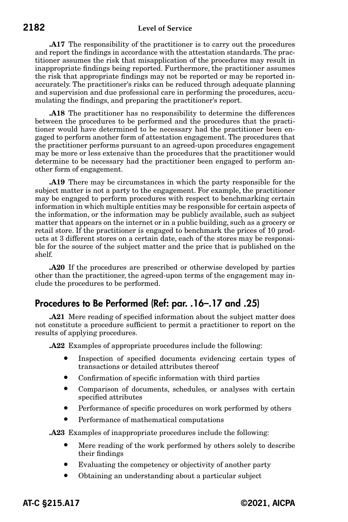**A17** The responsibility of the practitioner is to carry out the procedures and report the findings in accordance with the attestation standards. The practitioner assumes the risk that misapplication of the procedures may result in inappropriate findings being reported. Furthermore, the practitioner assumes the risk that appropriate findings may not be reported or may be reported inaccurately. The practitioner's risks can be reduced through adequate planning and supervision and due professional care in performing the procedures, accumulating the findings, and preparing the practitioner's report.

**.A18** The practitioner has no responsibility to determine the differences between the procedures to be performed and the procedures that the practitioner would have determined to be necessary had the practitioner been engaged to perform another form of attestation engagement. The procedures that the practitioner performs pursuant to an agreed-upon procedures engagement may be more or less extensive than the procedures that the practitioner would determine to be necessary had the practitioner been engaged to perform another form of engagement.

**.A19** There may be circumstances in which the party responsible for the subject matter is not a party to the engagement. For example, the practitioner may be engaged to perform procedures with respect to benchmarking certain information in which multiple entities may be responsible for certain aspects of the information, or the information may be publicly available, such as subject matter that appears on the internet or in a public building, such as a grocery or retail store. If the practitioner is engaged to benchmark the prices of 10 products at 3 different stores on a certain date, each of the stores may be responsible for the source of the subject matter and the price that is published on the shelf.

**.A20** If the procedures are prescribed or otherwise developed by parties other than the practitioner, the agreed-upon terms of the engagement may include the procedures to be performed.

### **Procedures to Be Performed (Ref: par. .16–.17 and .25)**

**.A21** Mere reading of specified information about the subject matter does not constitute a procedure sufficient to permit a practitioner to report on the results of applying procedures.

**.A22** Examples of appropriate procedures include the following:

- Inspection of specified documents evidencing certain types of transactions or detailed attributes thereof
- Confirmation of specific information with third parties
- Comparison of documents, schedules, or analyses with certain specified attributes
- Performance of specific procedures on work performed by others
- Performance of mathematical computations

**.A23** Examples of inappropriate procedures include the following:

- Mere reading of the work performed by others solely to describe their findings
- Evaluating the competency or objectivity of another party
- Obtaining an understanding about a particular subject

**AT-C §215.A17 ©2021, AICPA**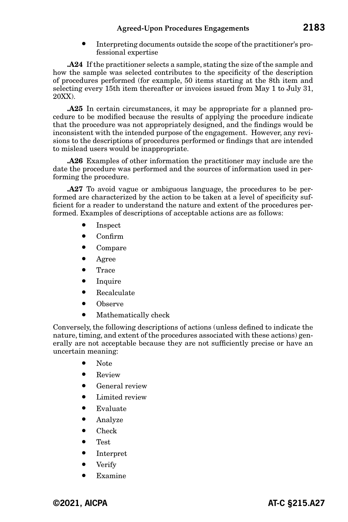• Interpreting documents outside the scope of the practitioner's professional expertise

**.A24** If the practitioner selects a sample, stating the size of the sample and how the sample was selected contributes to the specificity of the description of procedures performed (for example, 50 items starting at the 8th item and selecting every 15th item thereafter or invoices issued from May 1 to July 31, 20XX).

**.A25** In certain circumstances, it may be appropriate for a planned procedure to be modified because the results of applying the procedure indicate that the procedure was not appropriately designed, and the findings would be inconsistent with the intended purpose of the engagement. However, any revisions to the descriptions of procedures performed or findings that are intended to mislead users would be inappropriate.

**.A26** Examples of other information the practitioner may include are the date the procedure was performed and the sources of information used in performing the procedure.

**.A27** To avoid vague or ambiguous language, the procedures to be performed are characterized by the action to be taken at a level of specificity sufficient for a reader to understand the nature and extent of the procedures performed. Examples of descriptions of acceptable actions are as follows:

- Inspect
- Confirm
- Compare
- Agree
- Trace
- Inquire
- Recalculate
- Observe
- Mathematically check

Conversely, the following descriptions of actions (unless defined to indicate the nature, timing, and extent of the procedures associated with these actions) generally are not acceptable because they are not sufficiently precise or have an uncertain meaning:

- Note
- Review
- General review
- Limited review
- Evaluate
- Analyze
- Check
- Test
- **Interpret**
- **Verify**
- Examine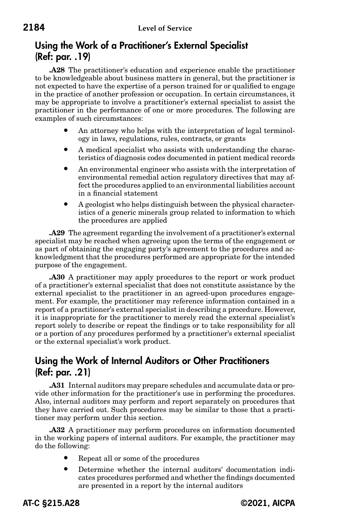## **Using the Work of a Practitioner's External Specialist (Ref: par. .19)**

**.A28** The practitioner's education and experience enable the practitioner to be knowledgeable about business matters in general, but the practitioner is not expected to have the expertise of a person trained for or qualified to engage in the practice of another profession or occupation. In certain circumstances, it may be appropriate to involve a practitioner's external specialist to assist the practitioner in the performance of one or more procedures. The following are examples of such circumstances:

- An attorney who helps with the interpretation of legal terminology in laws, regulations, rules, contracts, or grants
- A medical specialist who assists with understanding the characteristics of diagnosis codes documented in patient medical records
- An environmental engineer who assists with the interpretation of environmental remedial action regulatory directives that may affect the procedures applied to an environmental liabilities account in a financial statement
- A geologist who helps distinguish between the physical characteristics of a generic minerals group related to information to which the procedures are applied

**.A29** The agreement regarding the involvement of a practitioner's external specialist may be reached when agreeing upon the terms of the engagement or as part of obtaining the engaging party's agreement to the procedures and acknowledgment that the procedures performed are appropriate for the intended purpose of the engagement.

**.A30** A practitioner may apply procedures to the report or work product of a practitioner's external specialist that does not constitute assistance by the external specialist to the practitioner in an agreed-upon procedures engagement. For example, the practitioner may reference information contained in a report of a practitioner's external specialist in describing a procedure. However, it is inappropriate for the practitioner to merely read the external specialist's report solely to describe or repeat the findings or to take responsibility for all or a portion of any procedures performed by a practitioner's external specialist or the external specialist's work product.

## **Using the Work of Internal Auditors or Other Practitioners (Ref: par. .21)**

**.A31** Internal auditors may prepare schedules and accumulate data or provide other information for the practitioner's use in performing the procedures. Also, internal auditors may perform and report separately on procedures that they have carried out. Such procedures may be similar to those that a practitioner may perform under this section.

**.A32** A practitioner may perform procedures on information documented in the working papers of internal auditors. For example, the practitioner may do the following:

- Repeat all or some of the procedures
- Determine whether the internal auditors' documentation indicates procedures performed and whether the findings documented are presented in a report by the internal auditors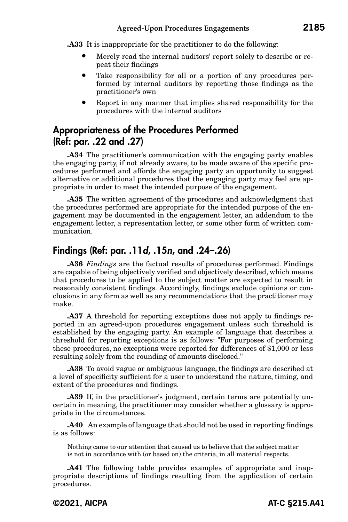**.A33** It is inappropriate for the practitioner to do the following:

- Merely read the internal auditors' report solely to describe or repeat their findings
- Take responsibility for all or a portion of any procedures performed by internal auditors by reporting those findings as the practitioner's own
- Report in any manner that implies shared responsibility for the procedures with the internal auditors

## **Appropriateness of the Procedures Performed (Ref: par. .22 and .27)**

**.A34** The practitioner's communication with the engaging party enables the engaging party, if not already aware, to be made aware of the specific procedures performed and affords the engaging party an opportunity to suggest alternative or additional procedures that the engaging party may feel are appropriate in order to meet the intended purpose of the engagement.

**.A35** The written agreement of the procedures and acknowledgment that the procedures performed are appropriate for the intended purpose of the engagement may be documented in the engagement letter, an addendum to the engagement letter, a representation letter, or some other form of written communication.

## **Findings (Ref: par. .11***d***, .15***n***, and .24–.26)**

**.A36** *Findings* are the factual results of procedures performed. Findings are capable of being objectively verified and objectively described, which means that procedures to be applied to the subject matter are expected to result in reasonably consistent findings. Accordingly, findings exclude opinions or conclusions in any form as well as any recommendations that the practitioner may make.

**.A37** A threshold for reporting exceptions does not apply to findings reported in an agreed-upon procedures engagement unless such threshold is established by the engaging party. An example of language that describes a threshold for reporting exceptions is as follows: "For purposes of performing these procedures, no exceptions were reported for differences of \$1,000 or less resulting solely from the rounding of amounts disclosed."

**.A38** To avoid vague or ambiguous language, the findings are described at a level of specificity sufficient for a user to understand the nature, timing, and extent of the procedures and findings.

**.A39** If, in the practitioner's judgment, certain terms are potentially uncertain in meaning, the practitioner may consider whether a glossary is appropriate in the circumstances.

**.A40** An example of language that should not be used in reporting findings is as follows:

Nothing came to our attention that caused us to believe that the subject matter is not in accordance with (or based on) the criteria, in all material respects.

**.A41** The following table provides examples of appropriate and inappropriate descriptions of findings resulting from the application of certain procedures.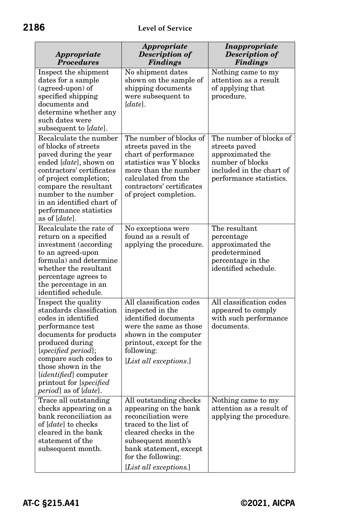| Appropriate<br><b>Procedures</b>                                                                                                                                                                                                                                                            | Appropriate<br><b>Description of</b><br><b>Findings</b>                                                                                                                                                                           | <i>Inappropriate</i><br><b>Description of</b><br><b>Findings</b>                                                                        |  |  |
|---------------------------------------------------------------------------------------------------------------------------------------------------------------------------------------------------------------------------------------------------------------------------------------------|-----------------------------------------------------------------------------------------------------------------------------------------------------------------------------------------------------------------------------------|-----------------------------------------------------------------------------------------------------------------------------------------|--|--|
| Inspect the shipment<br>dates for a sample<br>(agreed-upon) of<br>specified shipping<br>documents and<br>determine whether any<br>such dates were<br>subsequent to [ <i>date</i> ].                                                                                                         | No shipment dates<br>shown on the sample of<br>shipping documents<br>were subsequent to<br>[date].                                                                                                                                | Nothing came to my<br>attention as a result<br>of applying that<br>procedure.                                                           |  |  |
| Recalculate the number<br>of blocks of streets<br>paved during the year<br>ended [date], shown on<br>contractors' certificates<br>of project completion;<br>compare the resultant<br>number to the number<br>in an identified chart of<br>performance statistics<br>as of [ <i>date</i> ].  | The number of blocks of<br>streets paved in the<br>chart of performance<br>statistics was Y blocks<br>more than the number<br>calculated from the<br>contractors' certificates<br>of project completion.                          | The number of blocks of<br>streets paved<br>approximated the<br>number of blocks<br>included in the chart of<br>performance statistics. |  |  |
| Recalculate the rate of<br>return on a specified<br>investment (according<br>to an agreed-upon<br>formula) and determine<br>whether the resultant<br>percentage agrees to<br>the percentage in an<br>identified schedule.                                                                   | No exceptions were<br>found as a result of<br>applying the procedure.                                                                                                                                                             | The resultant<br>percentage<br>approximated the<br>predetermined<br>percentage in the<br>identified schedule.                           |  |  |
| Inspect the quality<br>standards classification<br>codes in identified<br>performance test<br>documents for products<br>produced during<br>[specified period];<br>compare such codes to<br>those shown in the<br>[identified] computer<br>printout for [specified]<br>period] as of [date]. | All classification codes<br>inspected in the<br>identified documents<br>were the same as those<br>shown in the computer<br>printout, except for the<br>following:<br>[List all exceptions.]                                       | All classification codes<br>appeared to comply<br>with such performance<br>documents.                                                   |  |  |
| Trace all outstanding<br>checks appearing on a<br>bank reconciliation as<br>of [date] to checks<br>cleared in the bank<br>statement of the<br>subsequent month.                                                                                                                             | All outstanding checks<br>appearing on the bank<br>reconciliation were<br>traced to the list of<br>cleared checks in the<br>subsequent month's<br>bank statement, except<br>for the following:<br>[ <i>List all exceptions.</i> ] | Nothing came to my<br>attention as a result of<br>applying the procedure.                                                               |  |  |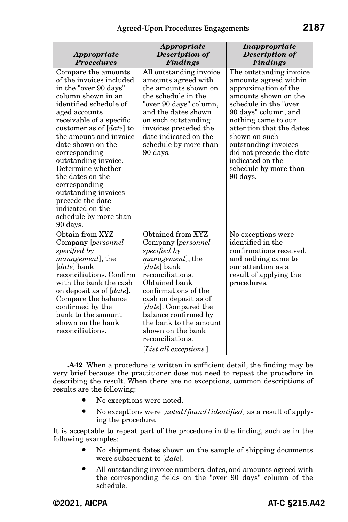| Appropriate<br><b>Procedures</b>                                                                                                                                                                                                                                                                                                                                                                                                                                  | Appropriate<br><b>Description of</b><br><b>Findings</b>                                                                                                                                                                                                                                                                                                                | <i>Inappropriate</i><br><b>Description of</b><br><b>Findings</b>                                                                                                                                                                                                                                                                   |
|-------------------------------------------------------------------------------------------------------------------------------------------------------------------------------------------------------------------------------------------------------------------------------------------------------------------------------------------------------------------------------------------------------------------------------------------------------------------|------------------------------------------------------------------------------------------------------------------------------------------------------------------------------------------------------------------------------------------------------------------------------------------------------------------------------------------------------------------------|------------------------------------------------------------------------------------------------------------------------------------------------------------------------------------------------------------------------------------------------------------------------------------------------------------------------------------|
| Compare the amounts<br>of the invoices included<br>in the "over 90 days"<br>column shown in an<br>identified schedule of<br>aged accounts<br>receivable of a specific<br>customer as of [ <i>date</i> ] to<br>the amount and invoice<br>date shown on the<br>corresponding<br>outstanding invoice.<br>Determine whether<br>the dates on the<br>corresponding<br>outstanding invoices<br>precede the date<br>indicated on the<br>schedule by more than<br>90 days. | All outstanding invoice<br>amounts agreed with<br>the amounts shown on<br>the schedule in the<br>"over 90 days" column,<br>and the dates shown<br>on such outstanding<br>invoices preceded the<br>date indicated on the<br>schedule by more than<br>90 days.                                                                                                           | The outstanding invoice<br>amounts agreed within<br>approximation of the<br>amounts shown on the<br>schedule in the "over<br>90 days" column, and<br>nothing came to our<br>attention that the dates<br>shown on such<br>outstanding invoices<br>did not precede the date<br>indicated on the<br>schedule by more than<br>90 days. |
| Obtain from XYZ<br>Company [ <i>personnel</i> ]<br>specified by<br><i>management</i> , the<br><i>datel</i> bank<br>reconciliations. Confirm<br>with the bank the cash<br>on deposit as of [ <i>date</i> ].<br>Compare the balance<br>confirmed by the<br>bank to the amount<br>shown on the bank<br>reconciliations.                                                                                                                                              | Obtained from XYZ<br>Company [ <i>personnel</i> ]<br>specified by<br><i>management</i> , the<br><i>datel</i> bank<br>reconciliations.<br>Obtained bank<br>confirmations of the<br>cash on deposit as of<br>[ <i>date</i> ]. Compared the<br>balance confirmed by<br>the bank to the amount<br>shown on the bank<br>reconciliations.<br>[ <i>List all exceptions.</i> ] | No exceptions were<br>identified in the<br>confirmations received.<br>and nothing came to<br>our attention as a<br>result of applying the<br>procedures.                                                                                                                                                                           |

**.A42** When a procedure is written in sufficient detail, the finding may be very brief because the practitioner does not need to repeat the procedure in describing the result. When there are no exceptions, common descriptions of results are the following:

- No exceptions were noted.
- No exceptions were [*noted/found/identified*] as a result of applying the procedure.

It is acceptable to repeat part of the procedure in the finding, such as in the following examples:

- No shipment dates shown on the sample of shipping documents were subsequent to [*date*].
- All outstanding invoice numbers, dates, and amounts agreed with the corresponding fields on the "over 90 days" column of the schedule.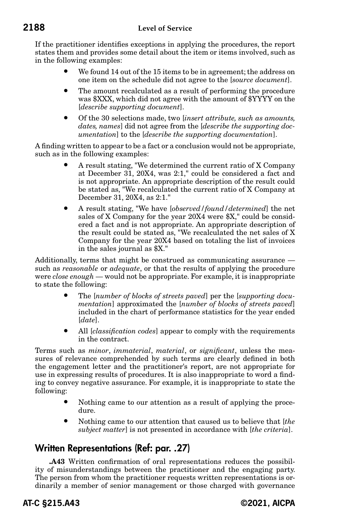If the practitioner identifies exceptions in applying the procedures, the report states them and provides some detail about the item or items involved, such as in the following examples:

- We found 14 out of the 15 items to be in agreement; the address on one item on the schedule did not agree to the [*source document*].
- The amount recalculated as a result of performing the procedure was \$XXX, which did not agree with the amount of \$YYYY on the [*describe supporting document*].
- Of the 30 selections made, two [*insert attribute, such as amounts, dates, names*] did not agree from the [*describe the supporting documentation*] to the [*describe the supporting documentation*].

A finding written to appear to be a fact or a conclusion would not be appropriate, such as in the following examples:

- A result stating, "We determined the current ratio of X Company at December 31, 20X4, was 2:1," could be considered a fact and is not appropriate. An appropriate description of the result could be stated as, "We recalculated the current ratio of X Company at December 31, 20X4, as 2:1."
- A result stating, "We have [*observed/found/determined*] the net sales of X Company for the year 20X4 were \$X," could be considered a fact and is not appropriate. An appropriate description of the result could be stated as, "We recalculated the net sales of X Company for the year 20X4 based on totaling the list of invoices in the sales journal as \$X."

Additionally, terms that might be construed as communicating assurance such as *reasonable* or *adequate*, or that the results of applying the procedure were *close enough* — would not be appropriate. For example, it is inappropriate to state the following:

- The [*number of blocks of streets paved*] per the [*supporting documentation*] approximated the [*number of blocks of streets paved*] included in the chart of performance statistics for the year ended [*date*].
- All [*classification codes*] appear to comply with the requirements in the contract.

Terms such as *minor*, *immaterial*, *material*, or *significant*, unless the measures of relevance comprehended by such terms are clearly defined in both the engagement letter and the practitioner's report, are not appropriate for use in expressing results of procedures. It is also inappropriate to word a finding to convey negative assurance. For example, it is inappropriate to state the following:

- Nothing came to our attention as a result of applying the procedure.
- Nothing came to our attention that caused us to believe that [*the subject matter*] is not presented in accordance with [*the criteria*].

## **Written Representations (Ref: par. .27)**

**.A43** Written confirmation of oral representations reduces the possibility of misunderstandings between the practitioner and the engaging party. The person from whom the practitioner requests written representations is ordinarily a member of senior management or those charged with governance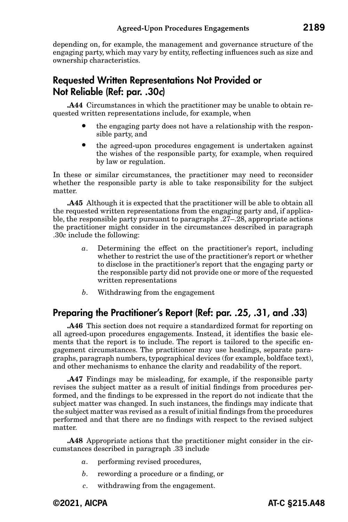depending on, for example, the management and governance structure of the engaging party, which may vary by entity, reflecting influences such as size and ownership characteristics.

## **Requested Written Representations Not Provided or Not Reliable (Ref: par. .30***c***)**

**.A44** Circumstances in which the practitioner may be unable to obtain requested written representations include, for example, when

- the engaging party does not have a relationship with the responsible party, and
- the agreed-upon procedures engagement is undertaken against the wishes of the responsible party, for example, when required by law or regulation.

In these or similar circumstances, the practitioner may need to reconsider whether the responsible party is able to take responsibility for the subject matter.

**.A45** Although it is expected that the practitioner will be able to obtain all the requested written representations from the engaging party and, if applicable, the responsible party pursuant to paragraphs .27–.28, appropriate actions the practitioner might consider in the circumstances described in paragraph .30*c* include the following:

- *a*. Determining the effect on the practitioner's report, including whether to restrict the use of the practitioner's report or whether to disclose in the practitioner's report that the engaging party or the responsible party did not provide one or more of the requested written representations
- *b*. Withdrawing from the engagement

## **Preparing the Practitioner's Report (Ref: par. .25, .31, and .33)**

**.A46** This section does not require a standardized format for reporting on all agreed-upon procedures engagements. Instead, it identifies the basic elements that the report is to include. The report is tailored to the specific engagement circumstances. The practitioner may use headings, separate paragraphs, paragraph numbers, typographical devices (for example, boldface text), and other mechanisms to enhance the clarity and readability of the report.

**.A47** Findings may be misleading, for example, if the responsible party revises the subject matter as a result of initial findings from procedures performed, and the findings to be expressed in the report do not indicate that the subject matter was changed. In such instances, the findings may indicate that the subject matter was revised as a result of initial findings from the procedures performed and that there are no findings with respect to the revised subject matter.

**.A48** Appropriate actions that the practitioner might consider in the circumstances described in paragraph .33 include

- *a*. performing revised procedures,
- *b*. rewording a procedure or a finding, or
- *c*. withdrawing from the engagement.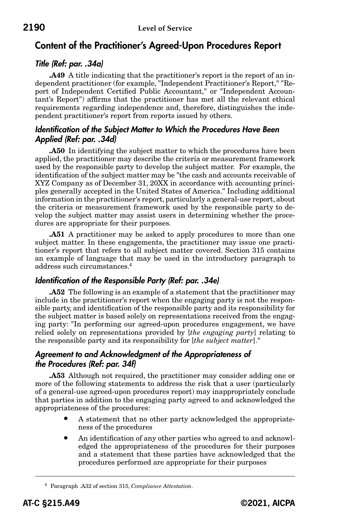## **Content of the Practitioner's Agreed-Upon Procedures Report**

#### *Title (Ref: par. .34a)*

**.A49** A title indicating that the practitioner's report is the report of an independent practitioner (for example, "Independent Practitioner's Report," "Report of Independent Certified Public Accountant," or "Independent Accountant's Report") affirms that the practitioner has met all the relevant ethical requirements regarding independence and, therefore, distinguishes the independent practitioner's report from reports issued by others.

#### *Identification of the Subject Matter to Which the Procedures Have Been Applied (Ref: par. .34d)*

**.A50** In identifying the subject matter to which the procedures have been applied, the practitioner may describe the criteria or measurement framework used by the responsible party to develop the subject matter. For example, the identification of the subject matter may be "the cash and accounts receivable of XYZ Company as of December 31, 20XX in accordance with accounting principles generally accepted in the United States of America." Including additional information in the practitioner's report, particularly a general-use report, about the criteria or measurement framework used by the responsible party to develop the subject matter may assist users in determining whether the procedures are appropriate for their purposes.

**A51** A practitioner may be asked to apply procedures to more than one subject matter. In these engagements, the practitioner may issue one practitioner's report that refers to all subject matter covered. Section 315 contains an example of language that may be used in the introductory paragraph to address such circumstances.4

#### *Identification of the Responsible Party (Ref: par. .34e)*

**.A52** The following is an example of a statement that the practitioner may include in the practitioner's report when the engaging party is not the responsible party, and identification of the responsible party and its responsibility for the subject matter is based solely on representations received from the engaging party: "In performing our agreed-upon procedures engagement, we have relied solely on representations provided by [*the engaging party*] relating to the responsible party and its responsibility for [*the subject matter*]."

#### *Agreement to and Acknowledgment of the Appropriateness of the Procedures (Ref: par. 34f)*

**.A53** Although not required, the practitioner may consider adding one or more of the following statements to address the risk that a user (particularly of a general-use agreed-upon procedures report) may inappropriately conclude that parties in addition to the engaging party agreed to and acknowledged the appropriateness of the procedures:

- A statement that no other party acknowledged the appropriateness of the procedures
- An identification of any other parties who agreed to and acknowledged the appropriateness of the procedures for their purposes and a statement that these parties have acknowledged that the procedures performed are appropriate for their purposes

<sup>4</sup> Paragraph .A32 of section 315, *Compliance Attestation*.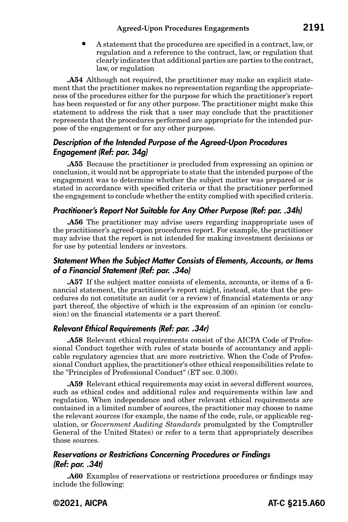• A statement that the procedures are specified in a contract, law, or regulation and a reference to the contract, law, or regulation that clearly indicates that additional parties are parties to the contract, law, or regulation

**.A54** Although not required, the practitioner may make an explicit statement that the practitioner makes no representation regarding the appropriateness of the procedures either for the purpose for which the practitioner's report has been requested or for any other purpose. The practitioner might make this statement to address the risk that a user may conclude that the practitioner represents that the procedures performed are appropriate for the intended purpose of the engagement or for any other purpose.

#### *Description of the Intended Purpose of the Agreed-Upon Procedures Engagement (Ref: par. 34g)*

**.A55** Because the practitioner is precluded from expressing an opinion or conclusion, it would not be appropriate to state that the intended purpose of the engagement was to determine whether the subject matter was prepared or is stated in accordance with specified criteria or that the practitioner performed the engagement to conclude whether the entity complied with specified criteria.

#### *Practitioner's Report Not Suitable for Any Other Purpose (Ref: par. .34h)*

**.A56** The practitioner may advise users regarding inappropriate uses of the practitioner's agreed-upon procedures report. For example, the practitioner may advise that the report is not intended for making investment decisions or for use by potential lenders or investors.

#### *Statement When the Subject Matter Consists of Elements, Accounts, or Items of a Financial Statement (Ref: par. .34o)*

**.A57** If the subject matter consists of elements, accounts, or items of a financial statement, the practitioner's report might, instead, state that the procedures do not constitute an audit (or a review) of financial statements or any part thereof, the objective of which is the expression of an opinion (or conclusion) on the financial statements or a part thereof.

#### *Relevant Ethical Requirements (Ref: par. .34r)*

**.A58** Relevant ethical requirements consist of the AICPA Code of Professional Conduct together with rules of state boards of accountancy and applicable regulatory agencies that are more restrictive. When the Code of Professional Conduct applies, the practitioner's other ethical responsibilities relate to the "Principles of Professional Conduct" (ET sec. 0.300).

**.A59** Relevant ethical requirements may exist in several different sources, such as ethical codes and additional rules and requirements within law and regulation. When independence and other relevant ethical requirements are contained in a limited number of sources, the practitioner may choose to name the relevant sources (for example, the name of the code, rule, or applicable regulation, or *Government Auditing Standards* promulgated by the Comptroller General of the United States) or refer to a term that appropriately describes those sources.

#### *Reservations or Restrictions Concerning Procedures or Findings (Ref: par. .34t)*

**.A60** Examples of reservations or restrictions procedures or findings may include the following: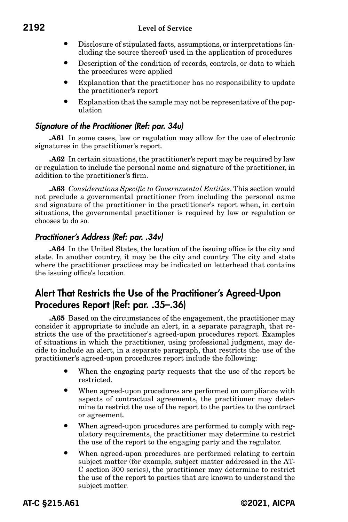- Disclosure of stipulated facts, assumptions, or interpretations (including the source thereof) used in the application of procedures
- Description of the condition of records, controls, or data to which the procedures were applied
- Explanation that the practitioner has no responsibility to update the practitioner's report
- Explanation that the sample may not be representative of the population

## *Signature of the Practitioner (Ref: par. 34u)*

**.A61** In some cases, law or regulation may allow for the use of electronic signatures in the practitioner's report.

**.A62** In certain situations, the practitioner's report may be required by law or regulation to include the personal name and signature of the practitioner, in addition to the practitioner's firm.

**.A63** *Considerations Specific to Governmental Entities*. This section would not preclude a governmental practitioner from including the personal name and signature of the practitioner in the practitioner's report when, in certain situations, the governmental practitioner is required by law or regulation or chooses to do so.

## *Practitioner's Address (Ref: par. .34v)*

**.A64** In the United States, the location of the issuing office is the city and state. In another country, it may be the city and country. The city and state where the practitioner practices may be indicated on letterhead that contains the issuing office's location.

## **Alert That Restricts the Use of the Practitioner's Agreed-Upon Procedures Report (Ref: par. .35–.36)**

**.A65** Based on the circumstances of the engagement, the practitioner may consider it appropriate to include an alert, in a separate paragraph, that restricts the use of the practitioner's agreed-upon procedures report. Examples of situations in which the practitioner, using professional judgment, may decide to include an alert, in a separate paragraph, that restricts the use of the practitioner's agreed-upon procedures report include the following:

- When the engaging party requests that the use of the report be restricted.
- When agreed-upon procedures are performed on compliance with aspects of contractual agreements, the practitioner may determine to restrict the use of the report to the parties to the contract or agreement.
- When agreed-upon procedures are performed to comply with regulatory requirements, the practitioner may determine to restrict the use of the report to the engaging party and the regulator.
- When agreed-upon procedures are performed relating to certain subject matter (for example, subject matter addressed in the AT-C section 300 series), the practitioner may determine to restrict the use of the report to parties that are known to understand the subject matter.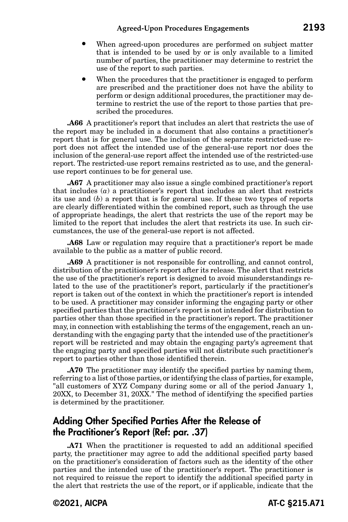- When agreed-upon procedures are performed on subject matter that is intended to be used by or is only available to a limited number of parties, the practitioner may determine to restrict the use of the report to such parties.
- When the procedures that the practitioner is engaged to perform are prescribed and the practitioner does not have the ability to perform or design additional procedures, the practitioner may determine to restrict the use of the report to those parties that prescribed the procedures.

**.A66** A practitioner's report that includes an alert that restricts the use of the report may be included in a document that also contains a practitioner's report that is for general use. The inclusion of the separate restricted-use report does not affect the intended use of the general-use report nor does the inclusion of the general-use report affect the intended use of the restricted-use report. The restricted-use report remains restricted as to use, and the generaluse report continues to be for general use.

**.A67** A practitioner may also issue a single combined practitioner's report that includes (*a*) a practitioner's report that includes an alert that restricts its use and (*b*) a report that is for general use. If these two types of reports are clearly differentiated within the combined report, such as through the use of appropriate headings, the alert that restricts the use of the report may be limited to the report that includes the alert that restricts its use. In such circumstances, the use of the general-use report is not affected.

**.A68** Law or regulation may require that a practitioner's report be made available to the public as a matter of public record.

**.A69** A practitioner is not responsible for controlling, and cannot control, distribution of the practitioner's report after its release. The alert that restricts the use of the practitioner's report is designed to avoid misunderstandings related to the use of the practitioner's report, particularly if the practitioner's report is taken out of the context in which the practitioner's report is intended to be used. A practitioner may consider informing the engaging party or other specified parties that the practitioner's report is not intended for distribution to parties other than those specified in the practitioner's report. The practitioner may, in connection with establishing the terms of the engagement, reach an understanding with the engaging party that the intended use of the practitioner's report will be restricted and may obtain the engaging party's agreement that the engaging party and specified parties will not distribute such practitioner's report to parties other than those identified therein.

**.A70** The practitioner may identify the specified parties by naming them, referring to a list of those parties, or identifying the class of parties, for example, "all customers of XYZ Company during some or all of the period January 1, 20XX, to December 31, 20XX." The method of identifying the specified parties is determined by the practitioner.

## **Adding Other Specified Parties After the Release of the Practitioner's Report (Ref: par. .37)**

**.A71** When the practitioner is requested to add an additional specified party, the practitioner may agree to add the additional specified party based on the practitioner's consideration of factors such as the identity of the other parties and the intended use of the practitioner's report. The practitioner is not required to reissue the report to identify the additional specified party in the alert that restricts the use of the report, or if applicable, indicate that the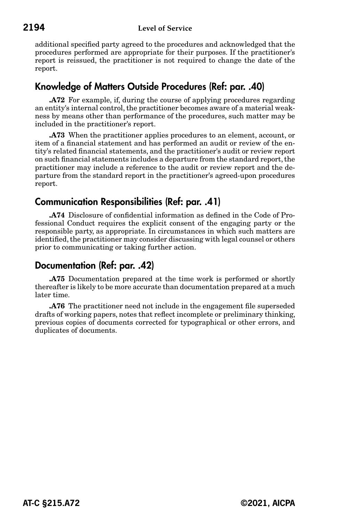additional specified party agreed to the procedures and acknowledged that the procedures performed are appropriate for their purposes. If the practitioner's report is reissued, the practitioner is not required to change the date of the report.

## **Knowledge of Matters Outside Procedures (Ref: par. .40)**

**.A72** For example, if, during the course of applying procedures regarding an entity's internal control, the practitioner becomes aware of a material weakness by means other than performance of the procedures, such matter may be included in the practitioner's report.

**.A73** When the practitioner applies procedures to an element, account, or item of a financial statement and has performed an audit or review of the entity's related financial statements, and the practitioner's audit or review report on such financial statements includes a departure from the standard report, the practitioner may include a reference to the audit or review report and the departure from the standard report in the practitioner's agreed-upon procedures report.

## **Communication Responsibilities (Ref: par. .41)**

**.A74** Disclosure of confidential information as defined in the Code of Professional Conduct requires the explicit consent of the engaging party or the responsible party, as appropriate. In circumstances in which such matters are identified, the practitioner may consider discussing with legal counsel or others prior to communicating or taking further action.

## **Documentation (Ref: par. .42)**

**.A75** Documentation prepared at the time work is performed or shortly thereafter is likely to be more accurate than documentation prepared at a much later time.

**.A76** The practitioner need not include in the engagement file superseded drafts of working papers, notes that reflect incomplete or preliminary thinking, previous copies of documents corrected for typographical or other errors, and duplicates of documents.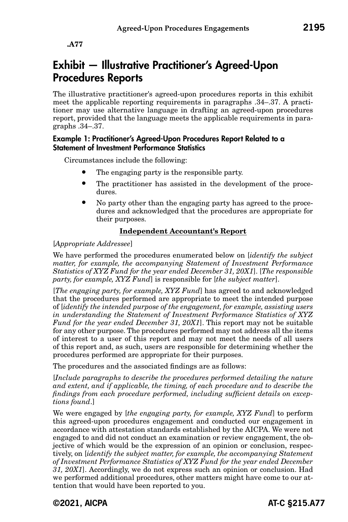#### **.A77**

# **Exhibit — Illustrative Practitioner's Agreed-Upon Procedures Reports**

The illustrative practitioner's agreed-upon procedures reports in this exhibit meet the applicable reporting requirements in paragraphs .34–.37. A practitioner may use alternative language in drafting an agreed-upon procedures report, provided that the language meets the applicable requirements in paragraphs .34–.37.

#### **Example 1: Practitioner's Agreed-Upon Procedures Report Related to a Statement of Investment Performance Statistics**

Circumstances include the following:

- The engaging party is the responsible party.
- The practitioner has assisted in the development of the procedures.
- No party other than the engaging party has agreed to the procedures and acknowledged that the procedures are appropriate for their purposes.

#### **Independent Accountant's Report**

[*Appropriate Addressee*]

We have performed the procedures enumerated below on [*identify the subject matter, for example, the accompanying Statement of Investment Performance Statistics of XYZ Fund for the year ended December 31, 20X1*]. [*The responsible party, for example, XYZ Fund*] is responsible for [*the subject matter*].

[*The engaging party, for example, XYZ Fund*] has agreed to and acknowledged that the procedures performed are appropriate to meet the intended purpose of [*identify the intended purpose of the engagement, for example, assisting users in understanding the Statement of Investment Performance Statistics of XYZ Fund for the year ended December 31, 20X1*]. This report may not be suitable for any other purpose. The procedures performed may not address all the items of interest to a user of this report and may not meet the needs of all users of this report and, as such, users are responsible for determining whether the procedures performed are appropriate for their purposes.

The procedures and the associated findings are as follows:

[*Include paragraphs to describe the procedures performed detailing the nature and extent, and if applicable, the timing, of each procedure and to describe the findings from each procedure performed, including sufficient details on exceptions found*.]

We were engaged by [*the engaging party, for example, XYZ Fund*] to perform this agreed-upon procedures engagement and conducted our engagement in accordance with attestation standards established by the AICPA. We were not engaged to and did not conduct an examination or review engagement, the objective of which would be the expression of an opinion or conclusion, respectively, on [*identify the subject matter, for example, the accompanying Statement of Investment Performance Statistics of XYZ Fund for the year ended December 31, 20X1*]. Accordingly, we do not express such an opinion or conclusion. Had we performed additional procedures, other matters might have come to our attention that would have been reported to you.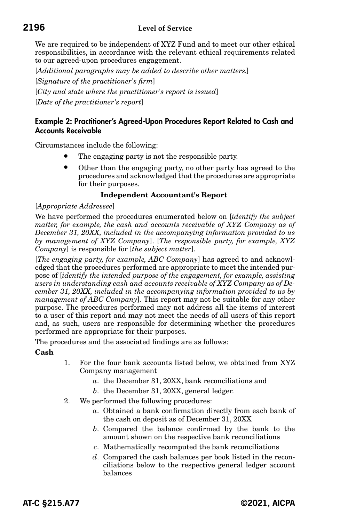We are required to be independent of XYZ Fund and to meet our other ethical responsibilities, in accordance with the relevant ethical requirements related to our agreed-upon procedures engagement.

[*Additional paragraphs may be added to describe other matters.*] [*Signature of the practitioner's firm*] [*City and state where the practitioner's report is issued*] [*Date of the practitioner's report*]

#### **Example 2: Practitioner's Agreed-Upon Procedures Report Related to Cash and Accounts Receivable**

Circumstances include the following:

- The engaging party is not the responsible party.
- Other than the engaging party, no other party has agreed to the procedures and acknowledged that the procedures are appropriate for their purposes.

#### **Independent Accountant's Report**

#### [*Appropriate Addressee*]

We have performed the procedures enumerated below on [*identify the subject matter, for example, the cash and accounts receivable of XYZ Company as of December 31, 20XX, included in the accompanying information provided to us by management of XYZ Company*]. [*The responsible party, for example, XYZ Company*] is responsible for [*the subject matter*].

[*The engaging party, for example, ABC Company*] has agreed to and acknowledged that the procedures performed are appropriate to meet the intended purpose of [*identify the intended purpose of the engagement, for example, assisting users in understanding cash and accounts receivable of XYZ Company as of December 31, 20XX, included in the accompanying information provided to us by management of ABC Company*]. This report may not be suitable for any other purpose. The procedures performed may not address all the items of interest to a user of this report and may not meet the needs of all users of this report and, as such, users are responsible for determining whether the procedures performed are appropriate for their purposes.

The procedures and the associated findings are as follows:

**Cash**

- 1. For the four bank accounts listed below, we obtained from XYZ Company management
	- *a*. the December 31, 20XX, bank reconciliations and
	- *b*. the December 31, 20XX, general ledger.
- 2. We performed the following procedures:
	- *a*. Obtained a bank confirmation directly from each bank of the cash on deposit as of December 31, 20XX
	- *b*. Compared the balance confirmed by the bank to the amount shown on the respective bank reconciliations
	- *c*. Mathematically recomputed the bank reconciliations
	- *d*. Compared the cash balances per book listed in the reconciliations below to the respective general ledger account balances

**AT-C §215.A77 ©2021, AICPA**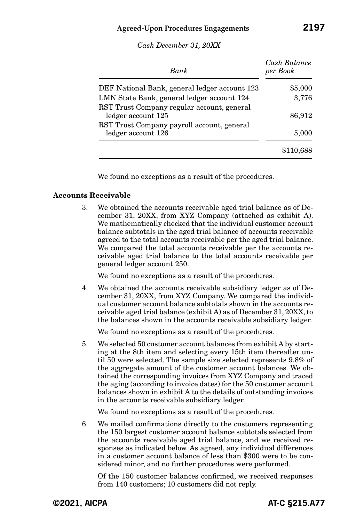| <b>Bank</b>                                                      | Cash Balance<br>per Book |
|------------------------------------------------------------------|--------------------------|
| DEF National Bank, general ledger account 123                    | \$5,000                  |
| LMN State Bank, general ledger account 124                       | 3,776                    |
| RST Trust Company regular account, general<br>ledger account 125 | 86,912                   |
| RST Trust Company payroll account, general<br>ledger account 126 | 5,000                    |
|                                                                  |                          |

*Cash December 31, 20XX*

We found no exceptions as a result of the procedures.

#### **Accounts Receivable**

3. We obtained the accounts receivable aged trial balance as of December 31, 20XX, from XYZ Company (attached as exhibit A). We mathematically checked that the individual customer account balance subtotals in the aged trial balance of accounts receivable agreed to the total accounts receivable per the aged trial balance. We compared the total accounts receivable per the accounts receivable aged trial balance to the total accounts receivable per general ledger account 250.

We found no exceptions as a result of the procedures.

4. We obtained the accounts receivable subsidiary ledger as of December 31, 20XX, from XYZ Company. We compared the individual customer account balance subtotals shown in the accounts receivable aged trial balance (exhibit A) as of December 31, 20XX, to the balances shown in the accounts receivable subsidiary ledger.

We found no exceptions as a result of the procedures.

5. We selected 50 customer account balances from exhibit A by starting at the 8th item and selecting every 15th item thereafter until 50 were selected. The sample size selected represents 9.8% of the aggregate amount of the customer account balances. We obtained the corresponding invoices from XYZ Company and traced the aging (according to invoice dates) for the 50 customer account balances shown in exhibit A to the details of outstanding invoices in the accounts receivable subsidiary ledger.

We found no exceptions as a result of the procedures.

6. We mailed confirmations directly to the customers representing the 150 largest customer account balance subtotals selected from the accounts receivable aged trial balance, and we received responses as indicated below. As agreed, any individual differences in a customer account balance of less than \$300 were to be considered minor, and no further procedures were performed.

Of the 150 customer balances confirmed, we received responses from 140 customers; 10 customers did not reply.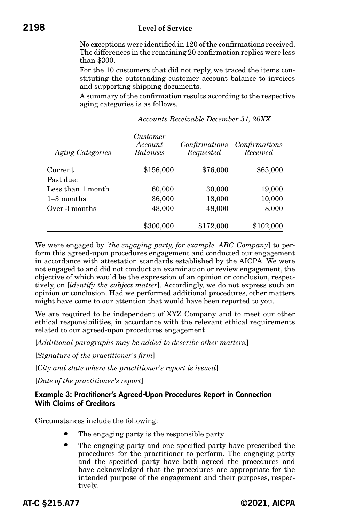No exceptions were identified in 120 of the confirmations received. The differences in the remaining 20 confirmation replies were less than \$300.

For the 10 customers that did not reply, we traced the items constituting the outstanding customer account balance to invoices and supporting shipping documents.

A summary of the confirmation results according to the respective aging categories is as follows.

| <b>Aging Categories</b> | Customer<br>Account<br><b>Balances</b> | Confirmations<br>Requested | Confirmations<br>Received |
|-------------------------|----------------------------------------|----------------------------|---------------------------|
| Current                 | \$156,000                              | \$76,000                   | \$65,000                  |
| Past due:               |                                        |                            |                           |
| Less than 1 month       | 60,000                                 | 30,000                     | 19,000                    |
| $1-3$ months            | 36,000                                 | 18,000                     | 10,000                    |
| Over 3 months           | 48,000                                 | 48,000                     | 8,000                     |
|                         | \$300,000                              | \$172,000                  | \$102,000                 |

|  | Accounts Receivable December 31, 20XX |  |  |  |
|--|---------------------------------------|--|--|--|
|--|---------------------------------------|--|--|--|

We were engaged by [*the engaging party, for example, ABC Company*] to perform this agreed-upon procedures engagement and conducted our engagement in accordance with attestation standards established by the AICPA. We were not engaged to and did not conduct an examination or review engagement, the objective of which would be the expression of an opinion or conclusion, respectively, on [*identify the subject matter*]. Accordingly, we do not express such an opinion or conclusion. Had we performed additional procedures, other matters might have come to our attention that would have been reported to you.

We are required to be independent of XYZ Company and to meet our other ethical responsibilities, in accordance with the relevant ethical requirements related to our agreed-upon procedures engagement.

[*Additional paragraphs may be added to describe other matters.*]

[*Signature of the practitioner's firm*]

[*City and state where the practitioner's report is issued*]

[*Date of the practitioner's report*]

#### **Example 3: Practitioner's Agreed-Upon Procedures Report in Connection With Claims of Creditors**

Circumstances include the following:

- The engaging party is the responsible party.
- The engaging party and one specified party have prescribed the procedures for the practitioner to perform. The engaging party and the specified party have both agreed the procedures and have acknowledged that the procedures are appropriate for the intended purpose of the engagement and their purposes, respectively.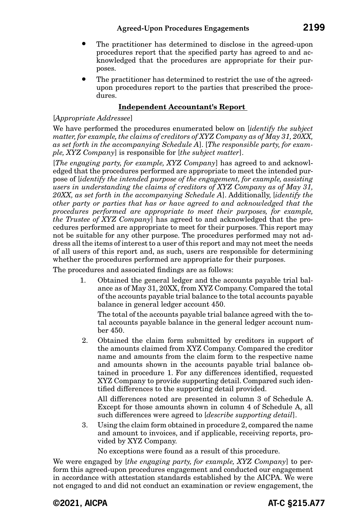- The practitioner has determined to disclose in the agreed-upon procedures report that the specified party has agreed to and acknowledged that the procedures are appropriate for their purposes.
- The practitioner has determined to restrict the use of the agreedupon procedures report to the parties that prescribed the procedures.

#### **Independent Accountant's Report**

#### [*Appropriate Addressee*]

We have performed the procedures enumerated below on [*identify the subject matter, for example, the claims of creditors of XYZ Company as of May 31, 20XX, as set forth in the accompanying Schedule A*]. [*The responsible party, for example, XYZ Company*] is responsible for [*the subject matter*].

[*The engaging party, for example, XYZ Company*] has agreed to and acknowledged that the procedures performed are appropriate to meet the intended purpose of [*identify the intended purpose of the engagement, for example, assisting users in understanding the claims of creditors of XYZ Company as of May 31, 20XX, as set forth in the accompanying Schedule A*]. Additionally, [*identify the other party or parties that has or have agreed to and acknowledged that the procedures performed are appropriate to meet their purposes, for example, the Trustee of XYZ Company*] has agreed to and acknowledged that the procedures performed are appropriate to meet for their purposes. This report may not be suitable for any other purpose. The procedures performed may not address all the items of interest to a user of this report and may not meet the needs of all users of this report and, as such, users are responsible for determining whether the procedures performed are appropriate for their purposes.

The procedures and associated findings are as follows:

1. Obtained the general ledger and the accounts payable trial balance as of May 31, 20XX, from XYZ Company. Compared the total of the accounts payable trial balance to the total accounts payable balance in general ledger account 450.

The total of the accounts payable trial balance agreed with the total accounts payable balance in the general ledger account number 450.

2. Obtained the claim form submitted by creditors in support of the amounts claimed from XYZ Company. Compared the creditor name and amounts from the claim form to the respective name and amounts shown in the accounts payable trial balance obtained in procedure 1. For any differences identified, requested XYZ Company to provide supporting detail. Compared such identified differences to the supporting detail provided.

All differences noted are presented in column 3 of Schedule A. Except for those amounts shown in column 4 of Schedule A, all such differences were agreed to [*describe supporting detail*].

3. Using the claim form obtained in procedure 2, compared the name and amount to invoices, and if applicable, receiving reports, provided by XYZ Company.

No exceptions were found as a result of this procedure.

We were engaged by [*the engaging party, for example, XYZ Company*] to perform this agreed-upon procedures engagement and conducted our engagement in accordance with attestation standards established by the AICPA. We were not engaged to and did not conduct an examination or review engagement, the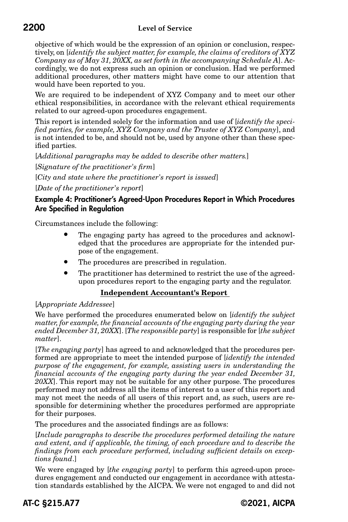objective of which would be the expression of an opinion or conclusion, respectively, on [*identify the subject matter, for example, the claims of creditors of XYZ Company as of May 31, 20XX, as set forth in the accompanying Schedule A*]. Accordingly, we do not express such an opinion or conclusion. Had we performed additional procedures, other matters might have come to our attention that would have been reported to you.

We are required to be independent of XYZ Company and to meet our other ethical responsibilities, in accordance with the relevant ethical requirements related to our agreed-upon procedures engagement.

This report is intended solely for the information and use of [*identify the specified parties, for example, XYZ Company and the Trustee of XYZ Company*], and is not intended to be, and should not be, used by anyone other than these specified parties.

[*Additional paragraphs may be added to describe other matters.*] [*Signature of the practitioner's firm*]

[*City and state where the practitioner's report is issued*] [*Date of the practitioner's report*]

#### **Example 4: Practitioner's Agreed-Upon Procedures Report in Which Procedures Are Specified in Regulation**

Circumstances include the following:

- The engaging party has agreed to the procedures and acknowledged that the procedures are appropriate for the intended purpose of the engagement.
- The procedures are prescribed in regulation.
- The practitioner has determined to restrict the use of the agreedupon procedures report to the engaging party and the regulator.

#### **Independent Accountant's Report**

#### [*Appropriate Addressee*]

We have performed the procedures enumerated below on [*identify the subject matter, for example, the financial accounts of the engaging party during the year ended December 31, 20XX*]. [*The responsible party*] is responsible for [*the subject matter*].

[*The engaging party*] has agreed to and acknowledged that the procedures performed are appropriate to meet the intended purpose of [*identify the intended purpose of the engagement, for example, assisting users in understanding the financial accounts of the engaging party during the year ended December 31, 20XX*]. This report may not be suitable for any other purpose. The procedures performed may not address all the items of interest to a user of this report and may not meet the needs of all users of this report and, as such, users are responsible for determining whether the procedures performed are appropriate for their purposes.

The procedures and the associated findings are as follows:

[*Include paragraphs to describe the procedures performed detailing the nature and extent, and if applicable, the timing, of each procedure and to describe the findings from each procedure performed, including sufficient details on exceptions found*.]

We were engaged by [*the engaging party*] to perform this agreed-upon procedures engagement and conducted our engagement in accordance with attestation standards established by the AICPA. We were not engaged to and did not